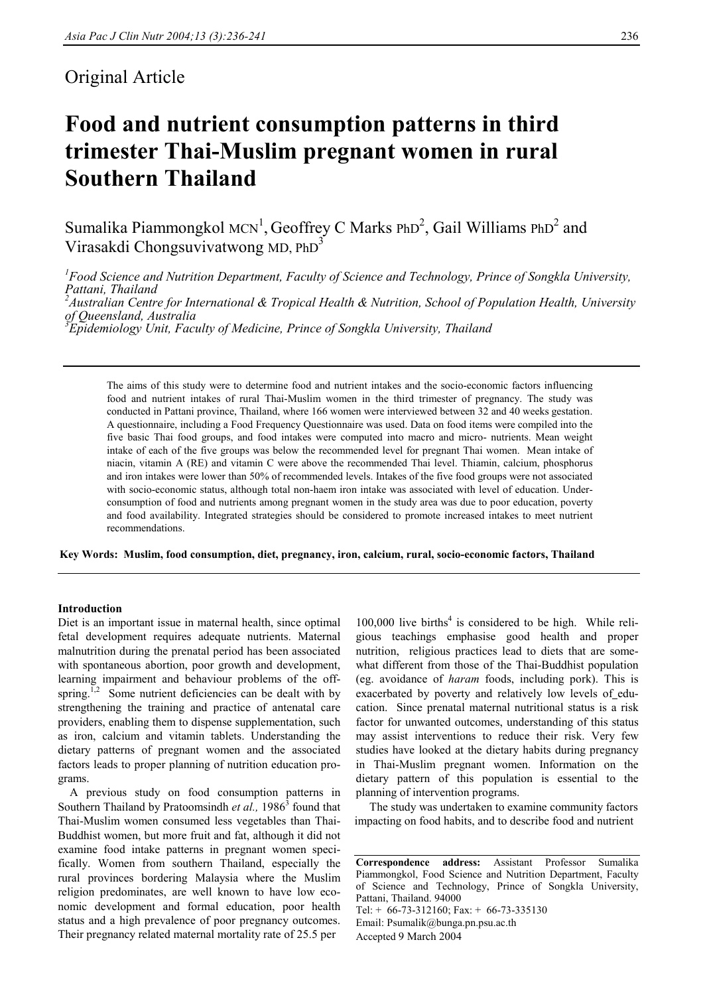# Original Article

# **Food and nutrient consumption patterns in third trimester Thai-Muslim pregnant women in rural Southern Thailand**

Sumalika Piammongkol MCN<sup>1</sup>, Geoffrey C Marks PhD<sup>2</sup>, Gail Williams PhD<sup>2</sup> and Virasakdi Chongsuvivatwong MD, PhD3

*1 Food Science and Nutrition Department, Faculty of Science and Technology, Prince of Songkla University, Pattani, Thailand 2 Australian Centre for International & Tropical Health & Nutrition, School of Population Health, University of Queensland, Australia 3 Epidemiology Unit, Faculty of Medicine, Prince of Songkla University, Thailand* 

The aims of this study were to determine food and nutrient intakes and the socio-economic factors influencing food and nutrient intakes of rural Thai-Muslim women in the third trimester of pregnancy. The study was conducted in Pattani province, Thailand, where 166 women were interviewed between 32 and 40 weeks gestation. A questionnaire, including a Food Frequency Questionnaire was used. Data on food items were compiled into the five basic Thai food groups, and food intakes were computed into macro and micro- nutrients. Mean weight intake of each of the five groups was below the recommended level for pregnant Thai women. Mean intake of niacin, vitamin A (RE) and vitamin C were above the recommended Thai level. Thiamin, calcium, phosphorus and iron intakes were lower than 50% of recommended levels. Intakes of the five food groups were not associated with socio-economic status, although total non-haem iron intake was associated with level of education. Underconsumption of food and nutrients among pregnant women in the study area was due to poor education, poverty and food availability. Integrated strategies should be considered to promote increased intakes to meet nutrient recommendations.

**Key Words: Muslim, food consumption, diet, pregnancy, iron, calcium, rural, socio-economic factors, Thailand** 

#### **Introduction**

Diet is an important issue in maternal health, since optimal fetal development requires adequate nutrients. Maternal malnutrition during the prenatal period has been associated with spontaneous abortion, poor growth and development, learning impairment and behaviour problems of the offspring.<sup>1,2</sup> Some nutrient deficiencies can be dealt with by strengthening the training and practice of antenatal care providers, enabling them to dispense supplementation, such as iron, calcium and vitamin tablets. Understanding the dietary patterns of pregnant women and the associated factors leads to proper planning of nutrition education programs.

 A previous study on food consumption patterns in Southern Thailand by Pratoomsindh *et al.*, 1986<sup>3</sup> found that Thai-Muslim women consumed less vegetables than Thai-Buddhist women, but more fruit and fat, although it did not examine food intake patterns in pregnant women specifically. Women from southern Thailand, especially the rural provinces bordering Malaysia where the Muslim religion predominates, are well known to have low economic development and formal education, poor health status and a high prevalence of poor pregnancy outcomes. Their pregnancy related maternal mortality rate of 25.5 per

 $100,000$  live births<sup>4</sup> is considered to be high. While religious teachings emphasise good health and proper nutrition, religious practices lead to diets that are somewhat different from those of the Thai-Buddhist population (eg. avoidance of *haram* foods, including pork). This is exacerbated by poverty and relatively low levels of education. Since prenatal maternal nutritional status is a risk factor for unwanted outcomes, understanding of this status may assist interventions to reduce their risk. Very few studies have looked at the dietary habits during pregnancy in Thai-Muslim pregnant women. Information on the dietary pattern of this population is essential to the planning of intervention programs.

 The study was undertaken to examine community factors impacting on food habits, and to describe food and nutrient

**Correspondence address:** Assistant Professor Sumalika Piammongkol, Food Science and Nutrition Department, Faculty of Science and Technology, Prince of Songkla University, Pattani, Thailand. 94000 Tel: + 66-73-312160; Fax: + 66-73-335130 Email: Psumalik@bunga.pn.psu.ac.th Accepted 9 March 2004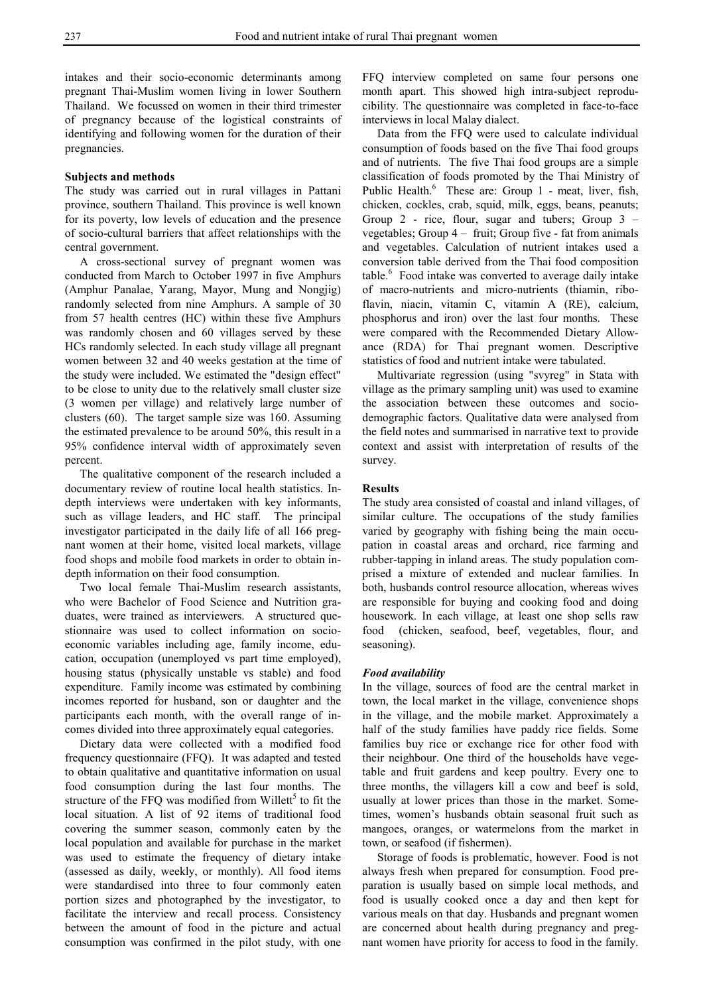intakes and their socio-economic determinants among pregnant Thai-Muslim women living in lower Southern Thailand. We focussed on women in their third trimester of pregnancy because of the logistical constraints of identifying and following women for the duration of their pregnancies.

# **Subjects and methods**

The study was carried out in rural villages in Pattani province, southern Thailand. This province is well known for its poverty, low levels of education and the presence of socio-cultural barriers that affect relationships with the central government.

A cross-sectional survey of pregnant women was conducted from March to October 1997 in five Amphurs (Amphur Panalae, Yarang, Mayor, Mung and Nongjig) randomly selected from nine Amphurs. A sample of 30 from 57 health centres (HC) within these five Amphurs was randomly chosen and 60 villages served by these HCs randomly selected. In each study village all pregnant women between 32 and 40 weeks gestation at the time of the study were included. We estimated the "design effect" to be close to unity due to the relatively small cluster size (3 women per village) and relatively large number of clusters (60). The target sample size was 160. Assuming the estimated prevalence to be around 50%, this result in a 95% confidence interval width of approximately seven percent.

 The qualitative component of the research included a documentary review of routine local health statistics. Indepth interviews were undertaken with key informants, such as village leaders, and HC staff. The principal investigator participated in the daily life of all 166 pregnant women at their home, visited local markets, village food shops and mobile food markets in order to obtain indepth information on their food consumption.

 Two local female Thai-Muslim research assistants, who were Bachelor of Food Science and Nutrition graduates, were trained as interviewers. A structured questionnaire was used to collect information on socioeconomic variables including age, family income, education, occupation (unemployed vs part time employed), housing status (physically unstable vs stable) and food expenditure. Family income was estimated by combining incomes reported for husband, son or daughter and the participants each month, with the overall range of incomes divided into three approximately equal categories.

 Dietary data were collected with a modified food frequency questionnaire (FFQ). It was adapted and tested to obtain qualitative and quantitative information on usual food consumption during the last four months. The structure of the FFQ was modified from Willett<sup>5</sup> to fit the local situation. A list of 92 items of traditional food covering the summer season, commonly eaten by the local population and available for purchase in the market was used to estimate the frequency of dietary intake (assessed as daily, weekly, or monthly). All food items were standardised into three to four commonly eaten portion sizes and photographed by the investigator, to facilitate the interview and recall process. Consistency between the amount of food in the picture and actual consumption was confirmed in the pilot study, with one

FFQ interview completed on same four persons one month apart. This showed high intra-subject reproducibility. The questionnaire was completed in face-to-face interviews in local Malay dialect.

 Data from the FFQ were used to calculate individual consumption of foods based on the five Thai food groups and of nutrients. The five Thai food groups are a simple classification of foods promoted by the Thai Ministry of Public Health.<sup>6</sup> These are: Group 1 - meat, liver, fish, chicken, cockles, crab, squid, milk, eggs, beans, peanuts; Group 2 - rice, flour, sugar and tubers; Group 3 – vegetables; Group 4 – fruit; Group five - fat from animals and vegetables. Calculation of nutrient intakes used a conversion table derived from the Thai food composition table.<sup>6</sup> Food intake was converted to average daily intake of macro-nutrients and micro-nutrients (thiamin, riboflavin, niacin, vitamin C, vitamin A (RE), calcium, phosphorus and iron) over the last four months. These were compared with the Recommended Dietary Allowance (RDA) for Thai pregnant women. Descriptive statistics of food and nutrient intake were tabulated.

 Multivariate regression (using "svyreg" in Stata with village as the primary sampling unit) was used to examine the association between these outcomes and sociodemographic factors. Qualitative data were analysed from the field notes and summarised in narrative text to provide context and assist with interpretation of results of the survey.

# **Results**

The study area consisted of coastal and inland villages, of similar culture. The occupations of the study families varied by geography with fishing being the main occupation in coastal areas and orchard, rice farming and rubber-tapping in inland areas. The study population comprised a mixture of extended and nuclear families. In both, husbands control resource allocation, whereas wives are responsible for buying and cooking food and doing housework. In each village, at least one shop sells raw food (chicken, seafood, beef, vegetables, flour, and seasoning).

### *Food availability*

In the village, sources of food are the central market in town, the local market in the village, convenience shops in the village, and the mobile market. Approximately a half of the study families have paddy rice fields. Some families buy rice or exchange rice for other food with their neighbour. One third of the households have vegetable and fruit gardens and keep poultry. Every one to three months, the villagers kill a cow and beef is sold, usually at lower prices than those in the market. Sometimes, women's husbands obtain seasonal fruit such as mangoes, oranges, or watermelons from the market in town, or seafood (if fishermen).

 Storage of foods is problematic, however. Food is not always fresh when prepared for consumption. Food preparation is usually based on simple local methods, and food is usually cooked once a day and then kept for various meals on that day. Husbands and pregnant women are concerned about health during pregnancy and pregnant women have priority for access to food in the family.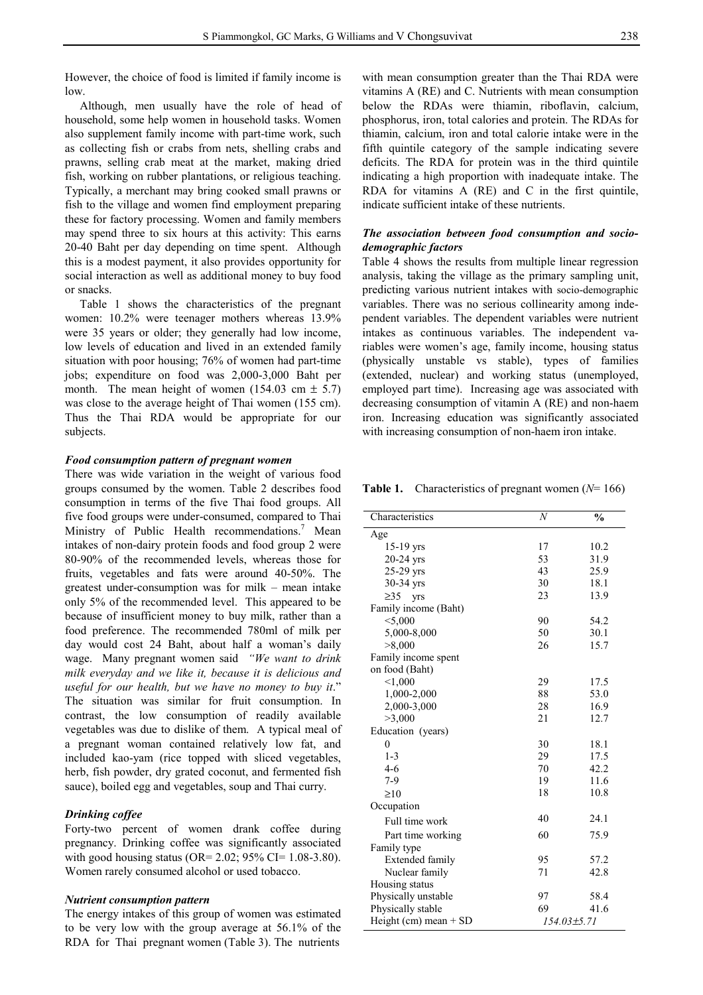However, the choice of food is limited if family income is low.

 Although, men usually have the role of head of household, some help women in household tasks. Women also supplement family income with part-time work, such as collecting fish or crabs from nets, shelling crabs and prawns, selling crab meat at the market, making dried fish, working on rubber plantations, or religious teaching. Typically, a merchant may bring cooked small prawns or fish to the village and women find employment preparing these for factory processing. Women and family members may spend three to six hours at this activity: This earns 20-40 Baht per day depending on time spent. Although this is a modest payment, it also provides opportunity for social interaction as well as additional money to buy food or snacks.

 Table 1 shows the characteristics of the pregnant women: 10.2% were teenager mothers whereas 13.9% were 35 years or older; they generally had low income, low levels of education and lived in an extended family situation with poor housing; 76% of women had part-time jobs; expenditure on food was 2,000-3,000 Baht per month. The mean height of women  $(154.03 \text{ cm } \pm 5.7)$ was close to the average height of Thai women (155 cm). Thus the Thai RDA would be appropriate for our subjects.

# *Food consumption pattern of pregnant women*

There was wide variation in the weight of various food groups consumed by the women. Table 2 describes food consumption in terms of the five Thai food groups. All five food groups were under-consumed, compared to Thai Ministry of Public Health recommendations.<sup>7</sup> Mean intakes of non-dairy protein foods and food group 2 were 80-90% of the recommended levels, whereas those for fruits, vegetables and fats were around 40-50%. The greatest under-consumption was for milk – mean intake only 5% of the recommended level. This appeared to be because of insufficient money to buy milk, rather than a food preference. The recommended 780ml of milk per day would cost 24 Baht, about half a woman's daily wage. Many pregnant women said *"We want to drink milk everyday and we like it, because it is delicious and useful for our health, but we have no money to buy it*." The situation was similar for fruit consumption. In contrast, the low consumption of readily available vegetables was due to dislike of them. A typical meal of a pregnant woman contained relatively low fat, and included kao-yam (rice topped with sliced vegetables, herb, fish powder, dry grated coconut, and fermented fish sauce), boiled egg and vegetables, soup and Thai curry.

#### *Drinking coffee*

Forty-two percent of women drank coffee during pregnancy. Drinking coffee was significantly associated with good housing status (OR=  $2.02$ ; 95% CI=  $1.08-3.80$ ). Women rarely consumed alcohol or used tobacco.

# *Nutrient consumption pattern*

The energy intakes of this group of women was estimated to be very low with the group average at 56.1% of the RDA for Thai pregnant women (Table 3). The nutrients

with mean consumption greater than the Thai RDA were vitamins A (RE) and C. Nutrients with mean consumption below the RDAs were thiamin, riboflavin, calcium, phosphorus, iron, total calories and protein. The RDAs for thiamin, calcium, iron and total calorie intake were in the fifth quintile category of the sample indicating severe deficits. The RDA for protein was in the third quintile indicating a high proportion with inadequate intake. The RDA for vitamins A (RE) and C in the first quintile, indicate sufficient intake of these nutrients.

# *The association between food consumption and sociodemographic factors*

Table 4 shows the results from multiple linear regression analysis, taking the village as the primary sampling unit, predicting various nutrient intakes with socio-demographic variables. There was no serious collinearity among independent variables. The dependent variables were nutrient intakes as continuous variables. The independent variables were women's age, family income, housing status (physically unstable vs stable), types of families (extended, nuclear) and working status (unemployed, employed part time). Increasing age was associated with decreasing consumption of vitamin A (RE) and non-haem iron. Increasing education was significantly associated with increasing consumption of non-haem iron intake.

**Table 1.** Characteristics of pregnant women (*N*= 166)

| Characteristics         | N  | $\frac{0}{0}$     |
|-------------------------|----|-------------------|
| Age                     |    |                   |
| $15-19$ yrs             | 17 | 10.2              |
| $20-24$ yrs             | 53 | 31.9              |
| 25-29 yrs               | 43 | 25.9              |
| 30-34 yrs               | 30 | 18.1              |
| $\geq$ 35<br><b>Vrs</b> | 23 | 13.9              |
| Family income (Baht)    |    |                   |
| < 5,000                 | 90 | 54.2              |
| 5,000-8,000             | 50 | 30.1              |
| >8,000                  | 26 | 15.7              |
| Family income spent     |    |                   |
| on food (Baht)          |    |                   |
| < 1,000                 | 29 | 17.5              |
| 1,000-2,000             | 88 | 53.0              |
| 2,000-3,000             | 28 | 16.9              |
| >3,000                  | 21 | 12.7              |
| Education (years)       |    |                   |
| $\theta$                | 30 | 18.1              |
| $1 - 3$                 | 29 | 17.5              |
| $4-6$                   | 70 | 42.2              |
| $7-9$                   | 19 | 11.6              |
| $\geq 10$               | 18 | 10.8              |
| Occupation              |    |                   |
| Full time work          | 40 | 24.1              |
| Part time working       | 60 | 75.9              |
| Family type             |    |                   |
| Extended family         | 95 | 57.2              |
| Nuclear family          | 71 | 42.8              |
| Housing status          |    |                   |
| Physically unstable     | 97 | 58.4              |
| Physically stable       | 69 | 41.6              |
| Height (cm) mean $+$ SD |    | $154.03 \pm 5.71$ |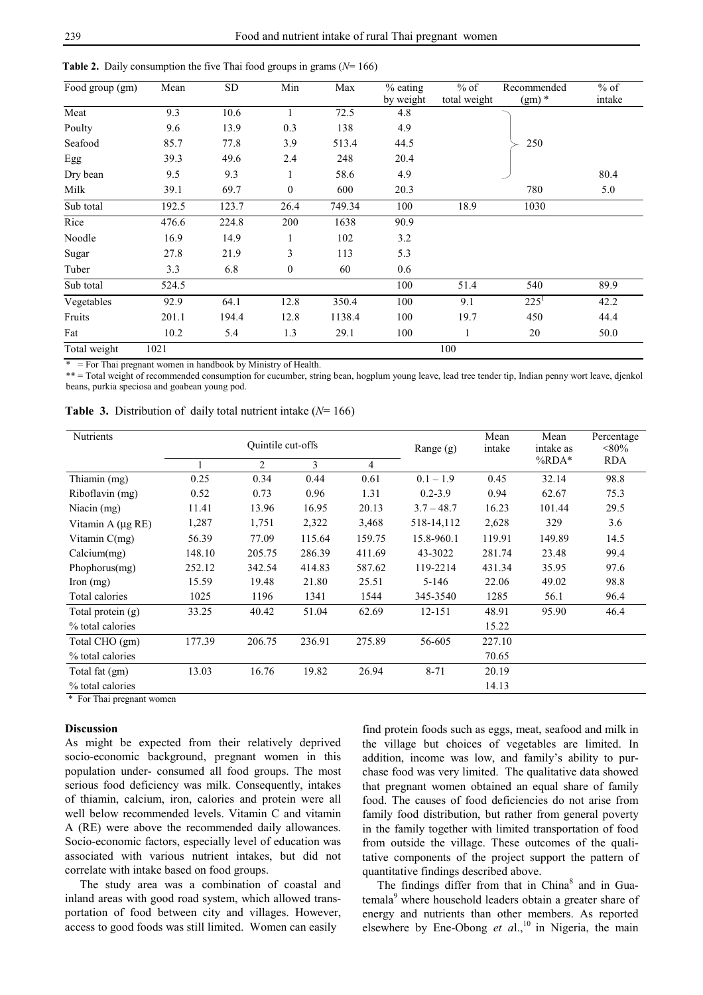| Food group (gm) | Mean  | <b>SD</b> | Min              | Max    | $%$ eating       | $%$ of       | Recommended | $%$ of |
|-----------------|-------|-----------|------------------|--------|------------------|--------------|-------------|--------|
| Meat            | 9.3   | 10.6      |                  | 72.5   | by weight<br>4.8 | total weight | $(gm)$ *    | intake |
|                 |       |           |                  |        |                  |              |             |        |
| Poulty          | 9.6   | 13.9      | 0.3              | 138    | 4.9              |              |             |        |
| Seafood         | 85.7  | 77.8      | 3.9              | 513.4  | 44.5             |              | 250         |        |
| Egg             | 39.3  | 49.6      | 2.4              | 248    | 20.4             |              |             |        |
| Dry bean        | 9.5   | 9.3       |                  | 58.6   | 4.9              |              |             | 80.4   |
| Milk            | 39.1  | 69.7      | $\boldsymbol{0}$ | 600    | 20.3             |              | 780         | 5.0    |
| Sub total       | 192.5 | 123.7     | 26.4             | 749.34 | 100              | 18.9         | 1030        |        |
| Rice            | 476.6 | 224.8     | 200              | 1638   | 90.9             |              |             |        |
| Noodle          | 16.9  | 14.9      |                  | 102    | 3.2              |              |             |        |
| Sugar           | 27.8  | 21.9      | 3                | 113    | 5.3              |              |             |        |
| Tuber           | 3.3   | 6.8       | $\boldsymbol{0}$ | 60     | 0.6              |              |             |        |
| Sub total       | 524.5 |           |                  |        | 100              | 51.4         | 540         | 89.9   |
| Vegetables      | 92.9  | 64.1      | 12.8             | 350.4  | 100              | 9.1          | $225^1$     | 42.2   |
| Fruits          | 201.1 | 194.4     | 12.8             | 1138.4 | 100              | 19.7         | 450         | 44.4   |
| Fat             | 10.2  | 5.4       | 1.3              | 29.1   | 100              |              | 20          | 50.0   |
| Total weight    | 1021  |           |                  |        |                  | 100          |             |        |

**Table 2.** Daily consumption the five Thai food groups in grams (*N*= 166)

 $=$  For Thai pregnant women in handbook by Ministry of Health.

\*\* = Total weight of recommended consumption for cucumber, string bean, hogplum young leave, lead tree tender tip, Indian penny wort leave, djenkol beans, purkia speciosa and goabean young pod.

|  | <b>Table 3.</b> Distribution of daily total nutrient intake ( $N=166$ ) |  |  |  |  |  |
|--|-------------------------------------------------------------------------|--|--|--|--|--|
|--|-------------------------------------------------------------------------|--|--|--|--|--|

| Nutrients         | Quintile cut-offs |                |        | Range $(g)$ | Mean<br>intake | Mean<br>intake as | Percentage<br>$< 80\%$ |            |
|-------------------|-------------------|----------------|--------|-------------|----------------|-------------------|------------------------|------------|
|                   |                   | $\overline{2}$ | 3      | 4           |                |                   | %RDA*                  | <b>RDA</b> |
| Thiamin (mg)      | 0.25              | 0.34           | 0.44   | 0.61        | $0.1 - 1.9$    | 0.45              | 32.14                  | 98.8       |
| Riboflavin (mg)   | 0.52              | 0.73           | 0.96   | 1.31        | $0.2 - 3.9$    | 0.94              | 62.67                  | 75.3       |
| Niacin $(mg)$     | 11.41             | 13.96          | 16.95  | 20.13       | $3.7 - 48.7$   | 16.23             | 101.44                 | 29.5       |
| Vitamin A (µg RE) | 1,287             | 1,751          | 2,322  | 3,468       | 518-14,112     | 2,628             | 329                    | 3.6        |
| Vitamin $C(mg)$   | 56.39             | 77.09          | 115.64 | 159.75      | 15.8-960.1     | 119.91            | 149.89                 | 14.5       |
| Calcium(mg)       | 148.10            | 205.75         | 286.39 | 411.69      | 43-3022        | 281.74            | 23.48                  | 99.4       |
| Phophorus $(mg)$  | 252.12            | 342.54         | 414.83 | 587.62      | 119-2214       | 431.34            | 35.95                  | 97.6       |
| $\gamma$ (mg)     | 15.59             | 19.48          | 21.80  | 25.51       | 5-146          | 22.06             | 49.02                  | 98.8       |
| Total calories    | 1025              | 1196           | 1341   | 1544        | 345-3540       | 1285              | 56.1                   | 96.4       |
| Total protein (g) | 33.25             | 40.42          | 51.04  | 62.69       | 12-151         | 48.91             | 95.90                  | 46.4       |
| % total calories  |                   |                |        |             |                | 15.22             |                        |            |
| Total CHO (gm)    | 177.39            | 206.75         | 236.91 | 275.89      | 56-605         | 227.10            |                        |            |
| % total calories  |                   |                |        |             |                | 70.65             |                        |            |
| Total fat (gm)    | 13.03             | 16.76          | 19.82  | 26.94       | $8 - 71$       | 20.19             |                        |            |
| % total calories  |                   |                |        |             |                | 14.13             |                        |            |

\* For Thai pregnant women

### **Discussion**

As might be expected from their relatively deprived socio-economic background, pregnant women in this population under- consumed all food groups. The most serious food deficiency was milk. Consequently, intakes of thiamin, calcium, iron, calories and protein were all well below recommended levels. Vitamin C and vitamin A (RE) were above the recommended daily allowances. Socio-economic factors, especially level of education was associated with various nutrient intakes, but did not correlate with intake based on food groups.

 The study area was a combination of coastal and inland areas with good road system, which allowed transportation of food between city and villages. However, access to good foods was still limited. Women can easily

find protein foods such as eggs, meat, seafood and milk in the village but choices of vegetables are limited. In addition, income was low, and family's ability to purchase food was very limited. The qualitative data showed that pregnant women obtained an equal share of family food. The causes of food deficiencies do not arise from family food distribution, but rather from general poverty in the family together with limited transportation of food from outside the village. These outcomes of the qualitative components of the project support the pattern of quantitative findings described above.

The findings differ from that in China<sup>8</sup> and in Guatemala<sup>9</sup> where household leaders obtain a greater share of energy and nutrients than other members. As reported elsewhere by Ene-Obong *et al.*,<sup>10</sup> in Nigeria, the main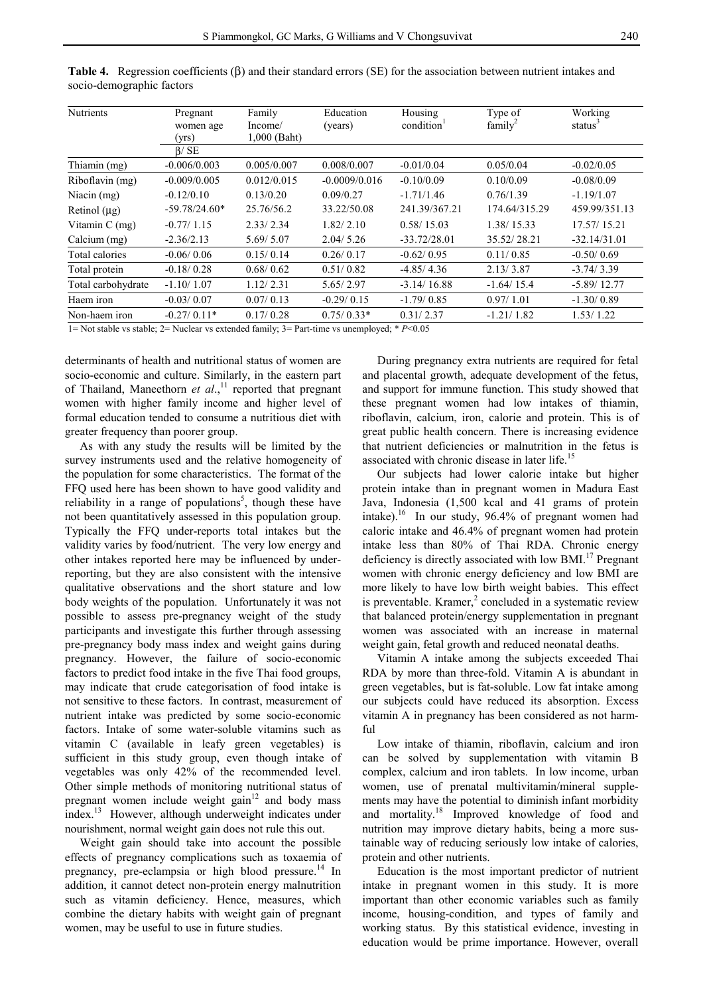| <b>Nutrients</b>                                                                                           | Pregnant        | Family         | Education       | Housing                | Type of             | Working              |  |  |  |
|------------------------------------------------------------------------------------------------------------|-----------------|----------------|-----------------|------------------------|---------------------|----------------------|--|--|--|
|                                                                                                            | women age       | Income/        | (years)         | condition <sup>1</sup> | family <sup>2</sup> | status $\frac{3}{2}$ |  |  |  |
|                                                                                                            | (yrs)           | $1,000$ (Baht) |                 |                        |                     |                      |  |  |  |
|                                                                                                            | $\beta$ / SE    |                |                 |                        |                     |                      |  |  |  |
| Thiamin (mg)                                                                                               | $-0.006/0.003$  | 0.005/0.007    | 0.008/0.007     | $-0.01/0.04$           | 0.05/0.04           | $-0.02/0.05$         |  |  |  |
| Riboflavin (mg)                                                                                            | $-0.009/0.005$  | 0.012/0.015    | $-0.0009/0.016$ | $-0.10/0.09$           | 0.10/0.09           | $-0.08/0.09$         |  |  |  |
| Niacin (mg)                                                                                                | $-0.12/0.10$    | 0.13/0.20      | 0.09/0.27       | $-1.71/1.46$           | 0.76/1.39           | $-1.19/1.07$         |  |  |  |
| Retinol $(\mu g)$                                                                                          | $-59.78/24.60*$ | 25.76/56.2     | 33.22/50.08     | 241.39/367.21          | 174.64/315.29       | 459.99/351.13        |  |  |  |
| Vitamin C (mg)                                                                                             | $-0.77/1.15$    | 2.33/2.34      | 1.82/2.10       | 0.58/15.03             | 1.38/15.33          | 17.57/15.21          |  |  |  |
| Calcium (mg)                                                                                               | $-2.36/2.13$    | 5.69/5.07      | 2.04/5.26       | $-33.72/28.01$         | 35.52/28.21         | $-32.14/31.01$       |  |  |  |
| Total calories                                                                                             | $-0.06/0.06$    | 0.15/0.14      | 0.26/0.17       | $-0.62/0.95$           | 0.11/0.85           | $-0.50/0.69$         |  |  |  |
| Total protein                                                                                              | $-0.18/0.28$    | 0.68/0.62      | 0.51/0.82       | $-4.85/4.36$           | 2.13/3.87           | $-3.74/3.39$         |  |  |  |
| Total carbohydrate                                                                                         | $-1.10/1.07$    | 1.12/2.31      | 5.65/2.97       | $-3.14/16.88$          | $-1.64/15.4$        | $-5.89/12.77$        |  |  |  |
| Haem iron                                                                                                  | $-0.03/0.07$    | 0.07/0.13      | $-0.29/0.15$    | $-1.79/0.85$           | 0.97/1.01           | $-1.30/0.89$         |  |  |  |
| Non-haem iron                                                                                              | $-0.27/0.11*$   | 0.17/0.28      | $0.75/0.33*$    | 0.31/2.37              | $-1.21/1.82$        | 1.53/1.22            |  |  |  |
| $1 -$ Mot atoble ve atoble: $2 -$ Musleon ve extended family: $2 -$ Dont time ve unampleyed: $\ast$ Dz0.05 |                 |                |                 |                        |                     |                      |  |  |  |

**Table 4.** Regression coefficients (β) and their standard errors (SE) for the association between nutrient intakes and socio-demographic factors

2= Nuclear vs extended family; 3= Part-time vs unemployed; \* *P*<0.05

determinants of health and nutritional status of women are socio-economic and culture. Similarly, in the eastern part of Thailand, Maneethorn et al.,<sup>11</sup> reported that pregnant women with higher family income and higher level of formal education tended to consume a nutritious diet with greater frequency than poorer group.

 As with any study the results will be limited by the survey instruments used and the relative homogeneity of the population for some characteristics. The format of the FFQ used here has been shown to have good validity and reliability in a range of populations<sup>5</sup>, though these have not been quantitatively assessed in this population group. Typically the FFQ under-reports total intakes but the validity varies by food/nutrient. The very low energy and other intakes reported here may be influenced by underreporting, but they are also consistent with the intensive qualitative observations and the short stature and low body weights of the population. Unfortunately it was not possible to assess pre-pregnancy weight of the study participants and investigate this further through assessing pre-pregnancy body mass index and weight gains during pregnancy. However, the failure of socio-economic factors to predict food intake in the five Thai food groups, may indicate that crude categorisation of food intake is not sensitive to these factors. In contrast, measurement of nutrient intake was predicted by some socio-economic factors. Intake of some water-soluble vitamins such as vitamin C (available in leafy green vegetables) is sufficient in this study group, even though intake of vegetables was only 42% of the recommended level. Other simple methods of monitoring nutritional status of pregnant women include weight gain $12$  and body mass index.13 However, although underweight indicates under nourishment, normal weight gain does not rule this out.

 Weight gain should take into account the possible effects of pregnancy complications such as toxaemia of pregnancy, pre-eclampsia or high blood pressure.<sup>14</sup> In addition, it cannot detect non-protein energy malnutrition such as vitamin deficiency. Hence, measures, which combine the dietary habits with weight gain of pregnant women, may be useful to use in future studies.

 During pregnancy extra nutrients are required for fetal and placental growth, adequate development of the fetus, and support for immune function. This study showed that these pregnant women had low intakes of thiamin, riboflavin, calcium, iron, calorie and protein. This is of great public health concern. There is increasing evidence that nutrient deficiencies or malnutrition in the fetus is associated with chronic disease in later life.<sup>15</sup>

 Our subjects had lower calorie intake but higher protein intake than in pregnant women in Madura East Java, Indonesia (1,500 kcal and 41 grams of protein intake).16 In our study, 96.4% of pregnant women had caloric intake and 46.4% of pregnant women had protein intake less than 80% of Thai RDA. Chronic energy deficiency is directly associated with low BMI. $^{17}$  Pregnant women with chronic energy deficiency and low BMI are more likely to have low birth weight babies. This effect is preventable. Kramer, $2$  concluded in a systematic review that balanced protein/energy supplementation in pregnant women was associated with an increase in maternal weight gain, fetal growth and reduced neonatal deaths.

 Vitamin A intake among the subjects exceeded Thai RDA by more than three-fold. Vitamin A is abundant in green vegetables, but is fat-soluble. Low fat intake among our subjects could have reduced its absorption. Excess vitamin A in pregnancy has been considered as not harmful

 Low intake of thiamin, riboflavin, calcium and iron can be solved by supplementation with vitamin B complex, calcium and iron tablets. In low income, urban women, use of prenatal multivitamin/mineral supplements may have the potential to diminish infant morbidity and mortality.18 Improved knowledge of food and nutrition may improve dietary habits, being a more sustainable way of reducing seriously low intake of calories, protein and other nutrients.

 Education is the most important predictor of nutrient intake in pregnant women in this study. It is more important than other economic variables such as family income, housing-condition, and types of family and working status. By this statistical evidence, investing in education would be prime importance. However, overall